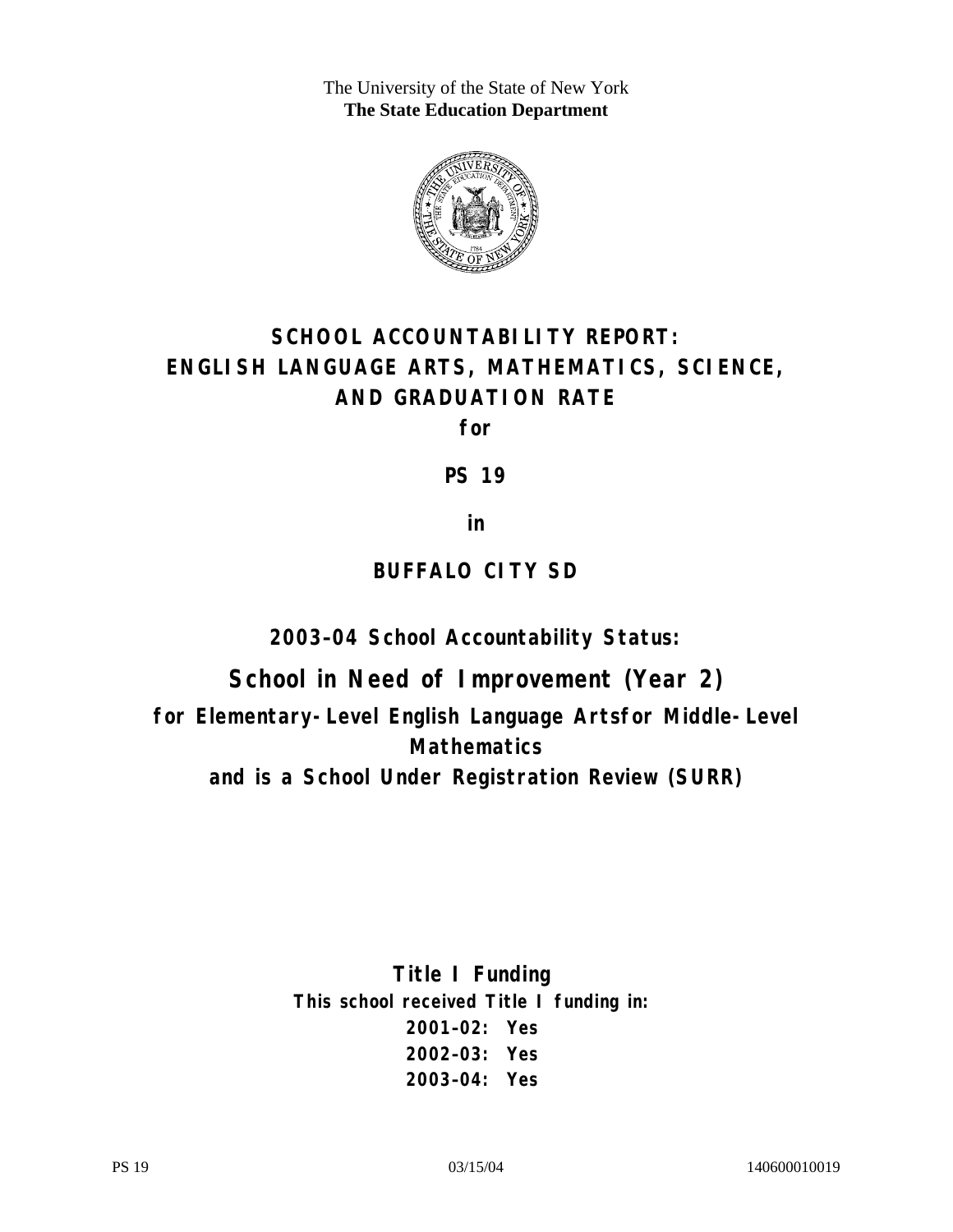The University of the State of New York **The State Education Department** 



# **SCHOOL ACCOUNTABILITY REPORT: ENGLISH LANGUAGE ARTS, MATHEMATICS, SCIENCE, AND GRADUATION RATE**

**for** 

**PS 19** 

**in** 

## **BUFFALO CITY SD**

**2003–04 School Accountability Status:** 

**School in Need of Improvement (Year 2) for Elementary-Level English Language Artsfor Middle-Level Mathematics and is a School Under Registration Review (SURR)**

> **Title I Funding This school received Title I funding in: 2001–02: Yes 2002–03: Yes 2003–04: Yes**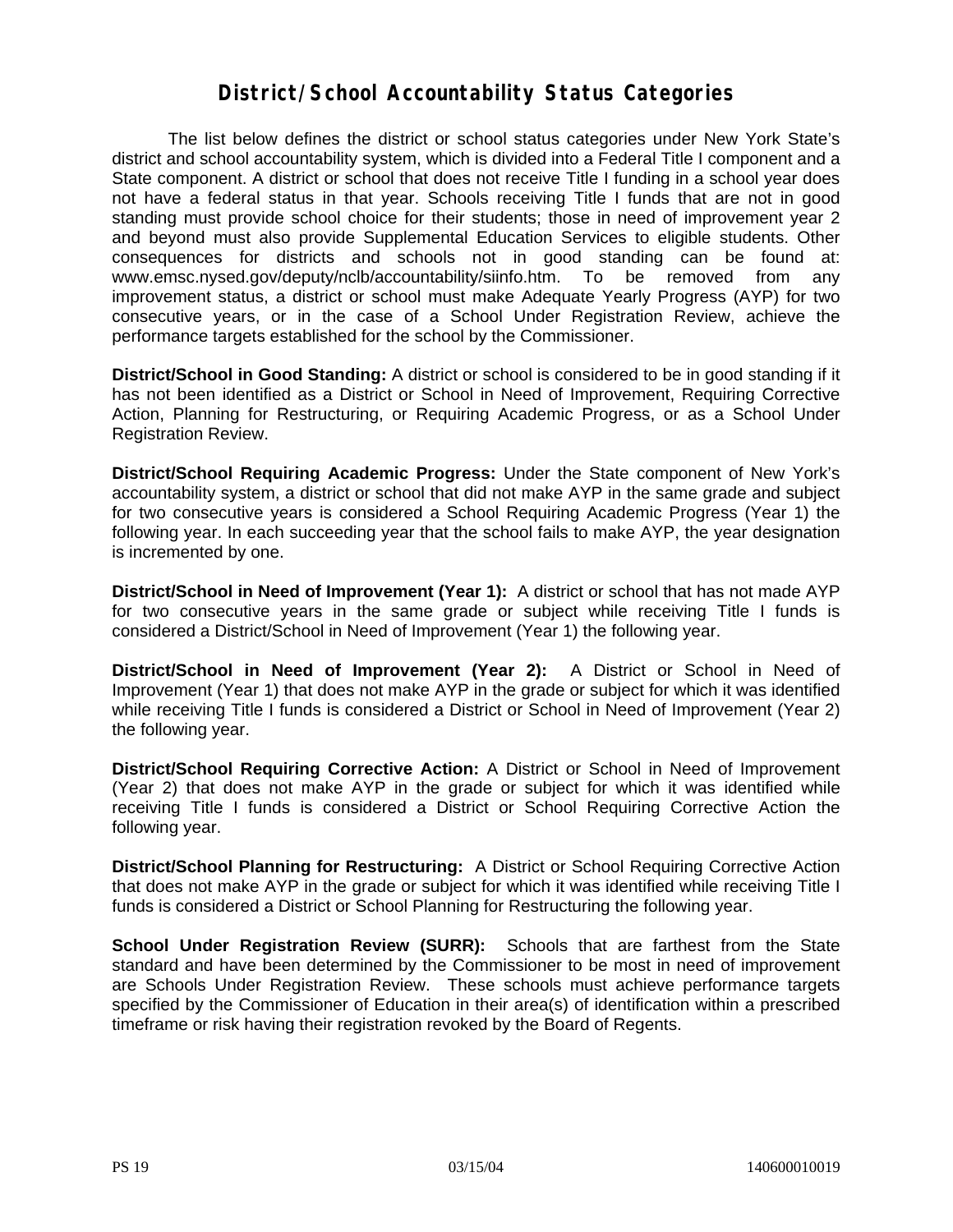#### **District/School Accountability Status Categories**

The list below defines the district or school status categories under New York State's district and school accountability system, which is divided into a Federal Title I component and a State component. A district or school that does not receive Title I funding in a school year does not have a federal status in that year. Schools receiving Title I funds that are not in good standing must provide school choice for their students; those in need of improvement year 2 and beyond must also provide Supplemental Education Services to eligible students. Other consequences for districts and schools not in good standing can be found at: www.emsc.nysed.gov/deputy/nclb/accountability/siinfo.htm. To be removed from any improvement status, a district or school must make Adequate Yearly Progress (AYP) for two consecutive years, or in the case of a School Under Registration Review, achieve the performance targets established for the school by the Commissioner.

**District/School in Good Standing:** A district or school is considered to be in good standing if it has not been identified as a District or School in Need of Improvement, Requiring Corrective Action, Planning for Restructuring, or Requiring Academic Progress, or as a School Under Registration Review.

**District/School Requiring Academic Progress:** Under the State component of New York's accountability system, a district or school that did not make AYP in the same grade and subject for two consecutive years is considered a School Requiring Academic Progress (Year 1) the following year. In each succeeding year that the school fails to make AYP, the year designation is incremented by one.

**District/School in Need of Improvement (Year 1):** A district or school that has not made AYP for two consecutive years in the same grade or subject while receiving Title I funds is considered a District/School in Need of Improvement (Year 1) the following year.

**District/School in Need of Improvement (Year 2):** A District or School in Need of Improvement (Year 1) that does not make AYP in the grade or subject for which it was identified while receiving Title I funds is considered a District or School in Need of Improvement (Year 2) the following year.

**District/School Requiring Corrective Action:** A District or School in Need of Improvement (Year 2) that does not make AYP in the grade or subject for which it was identified while receiving Title I funds is considered a District or School Requiring Corrective Action the following year.

**District/School Planning for Restructuring:** A District or School Requiring Corrective Action that does not make AYP in the grade or subject for which it was identified while receiving Title I funds is considered a District or School Planning for Restructuring the following year.

**School Under Registration Review (SURR):** Schools that are farthest from the State standard and have been determined by the Commissioner to be most in need of improvement are Schools Under Registration Review. These schools must achieve performance targets specified by the Commissioner of Education in their area(s) of identification within a prescribed timeframe or risk having their registration revoked by the Board of Regents.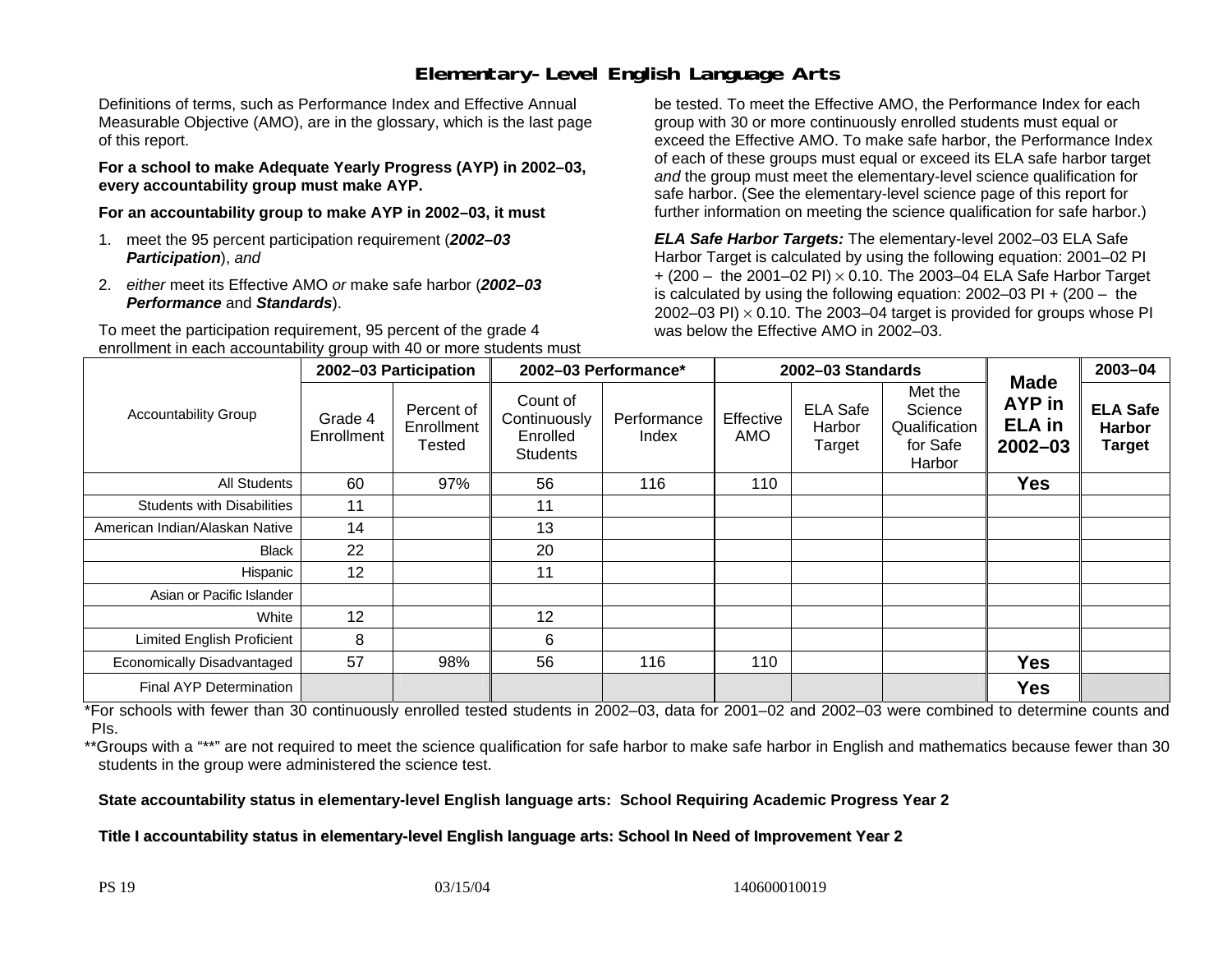### **Elementary-Level English Language Arts**

Definitions of terms, such as Performance Index and Effective Annual Measurable Objective (AMO), are in the glossary, which is the last page of this report.

**For a school to make Adequate Yearly Progress (AYP) in 2002–03, every accountability group must make AYP.** 

**For an accountability group to make AYP in 2002–03, it must** 

- 1. meet the 95 percent participation requirement (*2002–03 Participation*), *and*
- 2. *either* meet its Effective AMO *or* make safe harbor (*2002–03 Performance* and *Standards*).

To meet the participation requirement, 95 percent of the grade 4 enrollment in each accountability group with 40 or more students must

be tested. To meet the Effective AMO, the Performance Index for each group with 30 or more continuously enrolled students must equal or exceed the Effective AMO. To make safe harbor, the Performance Index of each of these groups must equal or exceed its ELA safe harbor target *and* the group must meet the elementary-level science qualification for safe harbor. (See the elementary-level science page of this report for further information on meeting the science qualification for safe harbor.)

*ELA Safe Harbor Targets:* The elementary-level 2002–03 ELA Safe Harbor Target is calculated by using the following equation: 2001–02 PI + (200 – the 2001–02 PI) <sup>×</sup> 0.10. The 2003–04 ELA Safe Harbor Target is calculated by using the following equation: 2002–03 PI + (200 – the 2002–03 PI)  $\times$  0.10. The 2003–04 target is provided for groups whose PI was below the Effective AMO in 2002–03.

|                                   |                       | 2002-03 Participation              | 2002-03 Performance*                                    |                      |                         | 2002-03 Standards                   |                                                           |                                                              | 2003-04                                           |
|-----------------------------------|-----------------------|------------------------------------|---------------------------------------------------------|----------------------|-------------------------|-------------------------------------|-----------------------------------------------------------|--------------------------------------------------------------|---------------------------------------------------|
| <b>Accountability Group</b>       | Grade 4<br>Enrollment | Percent of<br>Enrollment<br>Tested | Count of<br>Continuously<br>Enrolled<br><b>Students</b> | Performance<br>Index | Effective<br><b>AMO</b> | <b>ELA Safe</b><br>Harbor<br>Target | Met the<br>Science<br>Qualification<br>for Safe<br>Harbor | <b>Made</b><br><b>AYP</b> in<br><b>ELA</b> in<br>$2002 - 03$ | <b>ELA Safe</b><br><b>Harbor</b><br><b>Target</b> |
| <b>All Students</b>               | 60                    | 97%                                | 56                                                      | 116                  | 110                     |                                     |                                                           | <b>Yes</b>                                                   |                                                   |
| <b>Students with Disabilities</b> | 11                    |                                    | 11                                                      |                      |                         |                                     |                                                           |                                                              |                                                   |
| American Indian/Alaskan Native    | 14                    |                                    | 13                                                      |                      |                         |                                     |                                                           |                                                              |                                                   |
| <b>Black</b>                      | 22                    |                                    | 20                                                      |                      |                         |                                     |                                                           |                                                              |                                                   |
| Hispanic                          | 12                    |                                    | 11                                                      |                      |                         |                                     |                                                           |                                                              |                                                   |
| Asian or Pacific Islander         |                       |                                    |                                                         |                      |                         |                                     |                                                           |                                                              |                                                   |
| White                             | 12                    |                                    | 12                                                      |                      |                         |                                     |                                                           |                                                              |                                                   |
| <b>Limited English Proficient</b> | 8                     |                                    | 6                                                       |                      |                         |                                     |                                                           |                                                              |                                                   |
| Economically Disadvantaged        | 57                    | 98%                                | 56                                                      | 116                  | 110                     |                                     |                                                           | <b>Yes</b>                                                   |                                                   |
| Final AYP Determination           |                       |                                    |                                                         |                      |                         |                                     |                                                           | <b>Yes</b>                                                   |                                                   |

\*For schools with fewer than 30 continuously enrolled tested students in 2002–03, data for 2001–02 and 2002–03 were combined to determine counts and PIs.

\*\*Groups with a "\*\*" are not required to meet the science qualification for safe harbor to make safe harbor in English and mathematics because fewer than 30 students in the group were administered the science test.

**State accountability status in elementary-level English language arts: School Requiring Academic Progress Year 2** 

Title I accountability status in elementary-level English language arts: School In Need of Improvement Year 2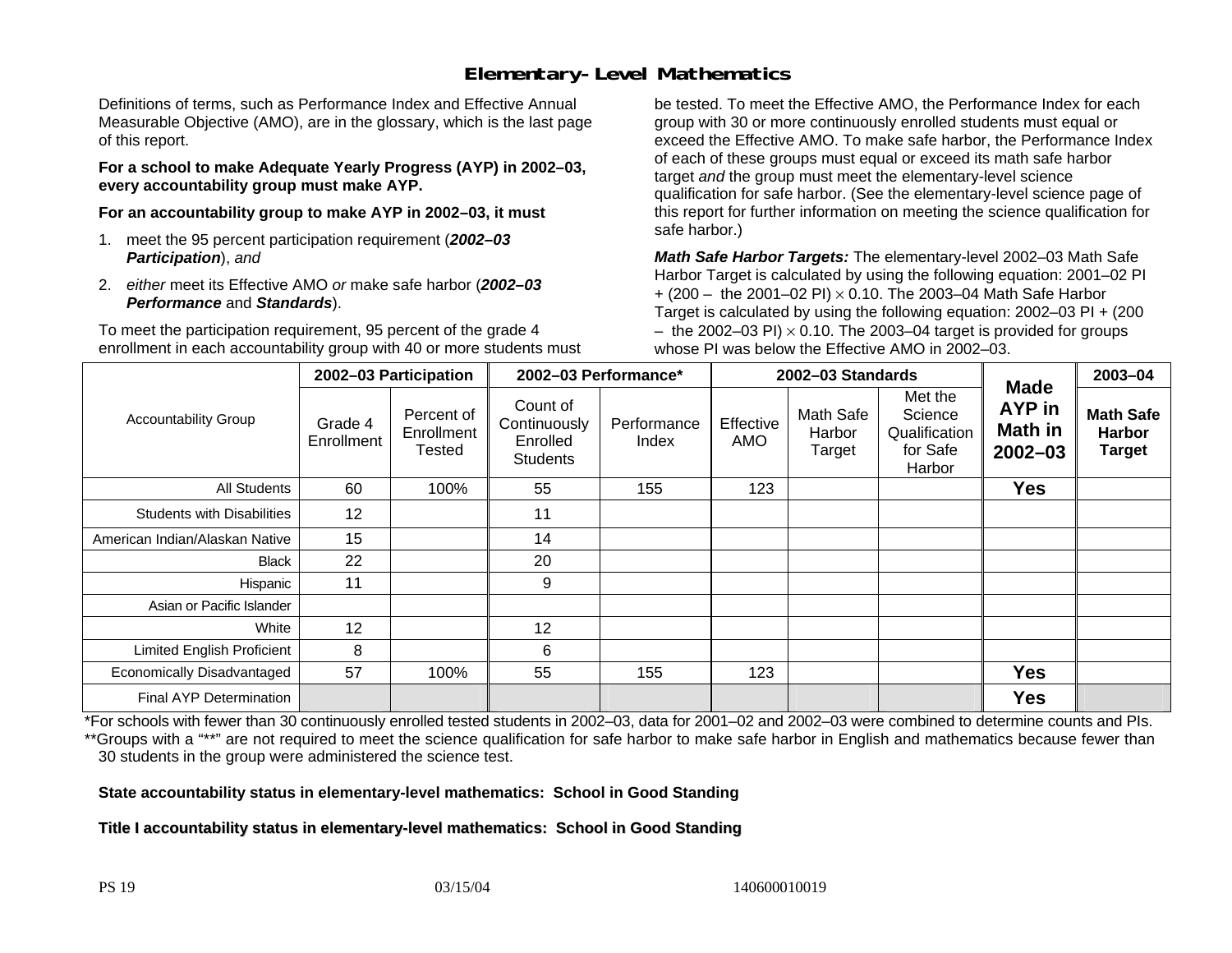## **Elementary-Level Mathematics**

Definitions of terms, such as Performance Index and Effective Annual Measurable Objective (AMO), are in the glossary, which is the last page of this report.

**For a school to make Adequate Yearly Progress (AYP) in 2002–03, every accountability group must make AYP.** 

**For an accountability group to make AYP in 2002–03, it must** 

- 1. meet the 95 percent participation requirement (*2002–03 Participation*), *and*
- 2. *either* meet its Effective AMO *or* make safe harbor (*2002–03 Performance* and *Standards*).

To meet the participation requirement, 95 percent of the grade 4 enrollment in each accountability group with 40 or more students must

be tested. To meet the Effective AMO, the Performance Index for each group with 30 or more continuously enrolled students must equal or exceed the Effective AMO. To make safe harbor, the Performance Index of each of these groups must equal or exceed its math safe harbor target *and* the group must meet the elementary-level science qualification for safe harbor. (See the elementary-level science page of this report for further information on meeting the science qualification for safe harbor.)

*Math Safe Harbor Targets:* The elementary-level 2002–03 Math Safe Harbor Target is calculated by using the following equation: 2001–02 PI + (200 – the 2001–02 PI) × 0.10. The 2003–04 Math Safe Harbor Target is calculated by using the following equation: 2002–03 PI + (200  $-$  the 2002–03 PI)  $\times$  0.10. The 2003–04 target is provided for groups whose PI was below the Effective AMO in 2002–03.

|                                   |                       | 2002-03 Participation              | 2002-03 Performance*                                    |                      |                         | 2002-03 Standards             |                                                           |                                                        | 2003-04                                            |
|-----------------------------------|-----------------------|------------------------------------|---------------------------------------------------------|----------------------|-------------------------|-------------------------------|-----------------------------------------------------------|--------------------------------------------------------|----------------------------------------------------|
| <b>Accountability Group</b>       | Grade 4<br>Enrollment | Percent of<br>Enrollment<br>Tested | Count of<br>Continuously<br>Enrolled<br><b>Students</b> | Performance<br>Index | Effective<br><b>AMO</b> | Math Safe<br>Harbor<br>Target | Met the<br>Science<br>Qualification<br>for Safe<br>Harbor | <b>Made</b><br>AYP in<br><b>Math in</b><br>$2002 - 03$ | <b>Math Safe</b><br><b>Harbor</b><br><b>Target</b> |
| All Students                      | 60                    | 100%                               | 55                                                      | 155                  | 123                     |                               |                                                           | <b>Yes</b>                                             |                                                    |
| <b>Students with Disabilities</b> | 12                    |                                    | 11                                                      |                      |                         |                               |                                                           |                                                        |                                                    |
| American Indian/Alaskan Native    | 15                    |                                    | 14                                                      |                      |                         |                               |                                                           |                                                        |                                                    |
| <b>Black</b>                      | 22                    |                                    | 20                                                      |                      |                         |                               |                                                           |                                                        |                                                    |
| Hispanic                          | 11                    |                                    | 9                                                       |                      |                         |                               |                                                           |                                                        |                                                    |
| Asian or Pacific Islander         |                       |                                    |                                                         |                      |                         |                               |                                                           |                                                        |                                                    |
| White                             | 12                    |                                    | 12                                                      |                      |                         |                               |                                                           |                                                        |                                                    |
| <b>Limited English Proficient</b> | 8                     |                                    | 6                                                       |                      |                         |                               |                                                           |                                                        |                                                    |
| Economically Disadvantaged        | 57                    | 100%                               | 55                                                      | 155                  | 123                     |                               |                                                           | <b>Yes</b>                                             |                                                    |
| <b>Final AYP Determination</b>    |                       |                                    |                                                         |                      |                         |                               |                                                           | <b>Yes</b>                                             |                                                    |

\*For schools with fewer than 30 continuously enrolled tested students in 2002–03, data for 2001–02 and 2002–03 were combined to determine counts and PIs. \*\*Groups with a "\*\*" are not required to meet the science qualification for safe harbor to make safe harbor in English and mathematics because fewer than 30 students in the group were administered the science test.

**State accountability status in elementary-level mathematics: School in Good Standing** 

Title I accountability status in elementary-level mathematics: School in Good Standing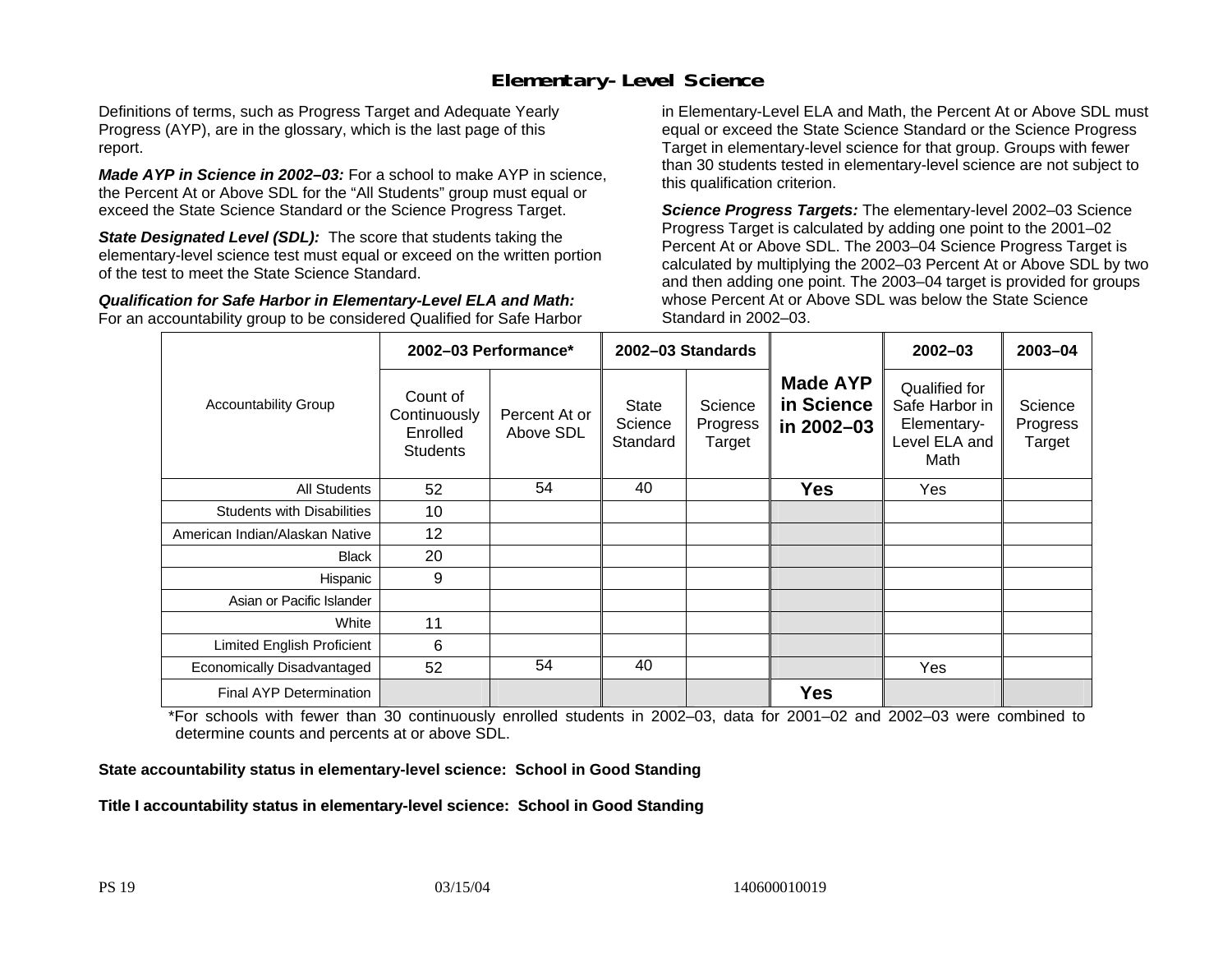### **Elementary-Level Science**

Definitions of terms, such as Progress Target and Adequate Yearly Progress (AYP), are in the glossary, which is the last page of this report.

*Made AYP in Science in 2002–03:* For a school to make AYP in science, the Percent At or Above SDL for the "All Students" group must equal or exceed the State Science Standard or the Science Progress Target.

**State Designated Level (SDL):** The score that students taking the elementary-level science test must equal or exceed on the written portion of the test to meet the State Science Standard.

*Qualification for Safe Harbor in Elementary-Level ELA and Math:* For an accountability group to be considered Qualified for Safe Harbor in Elementary-Level ELA and Math, the Percent At or Above SDL must equal or exceed the State Science Standard or the Science Progress Target in elementary-level science for that group. Groups with fewer than 30 students tested in elementary-level science are not subject to this qualification criterion.

*Science Progress Targets:* The elementary-level 2002–03 Science Progress Target is calculated by adding one point to the 2001–02 Percent At or Above SDL. The 2003–04 Science Progress Target is calculated by multiplying the 2002–03 Percent At or Above SDL by two and then adding one point. The 2003–04 target is provided for groups whose Percent At or Above SDL was below the State Science Standard in 2002–03.

|                                   |                                                         | 2002-03 Performance*       | 2002–03 Standards            |                               |                                             | $2002 - 03$                                                             | $2003 - 04$                   |
|-----------------------------------|---------------------------------------------------------|----------------------------|------------------------------|-------------------------------|---------------------------------------------|-------------------------------------------------------------------------|-------------------------------|
| <b>Accountability Group</b>       | Count of<br>Continuously<br>Enrolled<br><b>Students</b> | Percent At or<br>Above SDL | State<br>Science<br>Standard | Science<br>Progress<br>Target | <b>Made AYP</b><br>in Science<br>in 2002-03 | Qualified for<br>Safe Harbor in<br>Elementary-<br>Level ELA and<br>Math | Science<br>Progress<br>Target |
| All Students                      | 52                                                      | 54                         | 40                           |                               | <b>Yes</b>                                  | Yes                                                                     |                               |
| <b>Students with Disabilities</b> | 10                                                      |                            |                              |                               |                                             |                                                                         |                               |
| American Indian/Alaskan Native    | 12                                                      |                            |                              |                               |                                             |                                                                         |                               |
| <b>Black</b>                      | 20                                                      |                            |                              |                               |                                             |                                                                         |                               |
| Hispanic                          | 9                                                       |                            |                              |                               |                                             |                                                                         |                               |
| Asian or Pacific Islander         |                                                         |                            |                              |                               |                                             |                                                                         |                               |
| White                             | 11                                                      |                            |                              |                               |                                             |                                                                         |                               |
| Limited English Proficient        | 6                                                       |                            |                              |                               |                                             |                                                                         |                               |
| Economically Disadvantaged        | 52                                                      | 54                         | 40                           |                               |                                             | Yes                                                                     |                               |
| <b>Final AYP Determination</b>    |                                                         |                            |                              |                               | <b>Yes</b>                                  |                                                                         |                               |

\*For schools with fewer than 30 continuously enrolled students in 2002–03, data for 2001–02 and 2002–03 were combined to determine counts and percents at or above SDL.

#### **State accountability status in elementary-level science: School in Good Standing**

Title I accountability status in elementary-level science: School in Good Standing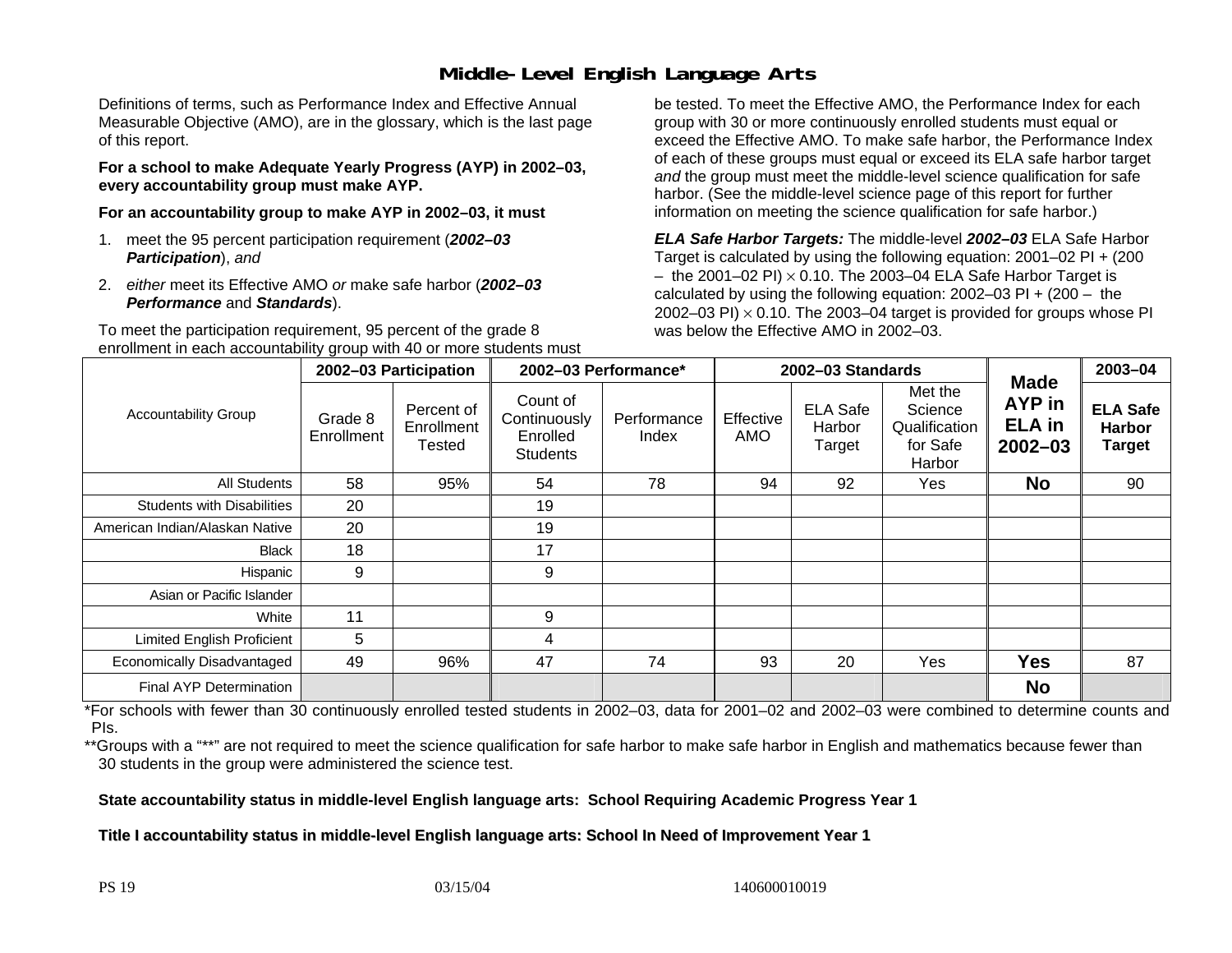### **Middle-Level English Language Arts**

Definitions of terms, such as Performance Index and Effective Annual Measurable Objective (AMO), are in the glossary, which is the last page of this report.

**For a school to make Adequate Yearly Progress (AYP) in 2002–03, every accountability group must make AYP.** 

**For an accountability group to make AYP in 2002–03, it must** 

- 1. meet the 95 percent participation requirement (*2002–03 Participation*), *and*
- 2. *either* meet its Effective AMO *or* make safe harbor (*2002–03 Performance* and *Standards*).

To meet the participation requirement, 95 percent of the grade 8 enrollment in each accountability group with 40 or more students must

be tested. To meet the Effective AMO, the Performance Index for each group with 30 or more continuously enrolled students must equal or exceed the Effective AMO. To make safe harbor, the Performance Index of each of these groups must equal or exceed its ELA safe harbor target *and* the group must meet the middle-level science qualification for safe harbor. (See the middle-level science page of this report for further information on meeting the science qualification for safe harbor.)

*ELA Safe Harbor Targets:* The middle-level *2002–03* ELA Safe Harbor Target is calculated by using the following equation: 2001–02 PI + (200  $-$  the 2001–02 PI)  $\times$  0.10. The 2003–04 ELA Safe Harbor Target is  $\,$ calculated by using the following equation:  $2002-03$  PI +  $(200 -$  the 2002–03 PI)  $\times$  0.10. The 2003–04 target is provided for groups whose PI was below the Effective AMO in 2002–03.

|                                   |                       | 2002-03 Participation              |                                                         | 2002-03 Performance*<br>2002-03 Standards |                  |                                     |                                                           | 2003-04                                                      |                                                   |
|-----------------------------------|-----------------------|------------------------------------|---------------------------------------------------------|-------------------------------------------|------------------|-------------------------------------|-----------------------------------------------------------|--------------------------------------------------------------|---------------------------------------------------|
| <b>Accountability Group</b>       | Grade 8<br>Enrollment | Percent of<br>Enrollment<br>Tested | Count of<br>Continuously<br>Enrolled<br><b>Students</b> | Performance<br>Index                      | Effective<br>AMO | <b>ELA Safe</b><br>Harbor<br>Target | Met the<br>Science<br>Qualification<br>for Safe<br>Harbor | <b>Made</b><br><b>AYP</b> in<br><b>ELA</b> in<br>$2002 - 03$ | <b>ELA Safe</b><br><b>Harbor</b><br><b>Target</b> |
| All Students                      | 58                    | 95%                                | 54                                                      | 78                                        | 94               | 92                                  | Yes                                                       | <b>No</b>                                                    | 90                                                |
| <b>Students with Disabilities</b> | 20                    |                                    | 19                                                      |                                           |                  |                                     |                                                           |                                                              |                                                   |
| American Indian/Alaskan Native    | 20                    |                                    | 19                                                      |                                           |                  |                                     |                                                           |                                                              |                                                   |
| <b>Black</b>                      | 18                    |                                    | 17                                                      |                                           |                  |                                     |                                                           |                                                              |                                                   |
| Hispanic                          | 9                     |                                    | 9                                                       |                                           |                  |                                     |                                                           |                                                              |                                                   |
| Asian or Pacific Islander         |                       |                                    |                                                         |                                           |                  |                                     |                                                           |                                                              |                                                   |
| White                             | 11                    |                                    | 9                                                       |                                           |                  |                                     |                                                           |                                                              |                                                   |
| <b>Limited English Proficient</b> | 5                     |                                    | 4                                                       |                                           |                  |                                     |                                                           |                                                              |                                                   |
| Economically Disadvantaged        | 49                    | 96%                                | 47                                                      | 74                                        | 93               | 20                                  | Yes                                                       | <b>Yes</b>                                                   | 87                                                |
| <b>Final AYP Determination</b>    |                       |                                    |                                                         |                                           |                  |                                     |                                                           | <b>No</b>                                                    |                                                   |

\*For schools with fewer than 30 continuously enrolled tested students in 2002–03, data for 2001–02 and 2002–03 were combined to determine counts and PIs.

\*\*Groups with a "\*\*" are not required to meet the science qualification for safe harbor to make safe harbor in English and mathematics because fewer than 30 students in the group were administered the science test.

**State accountability status in middle-level English language arts: School Requiring Academic Progress Year 1** 

Title I accountability status in middle-level English language arts: School In Need of Improvement Year 1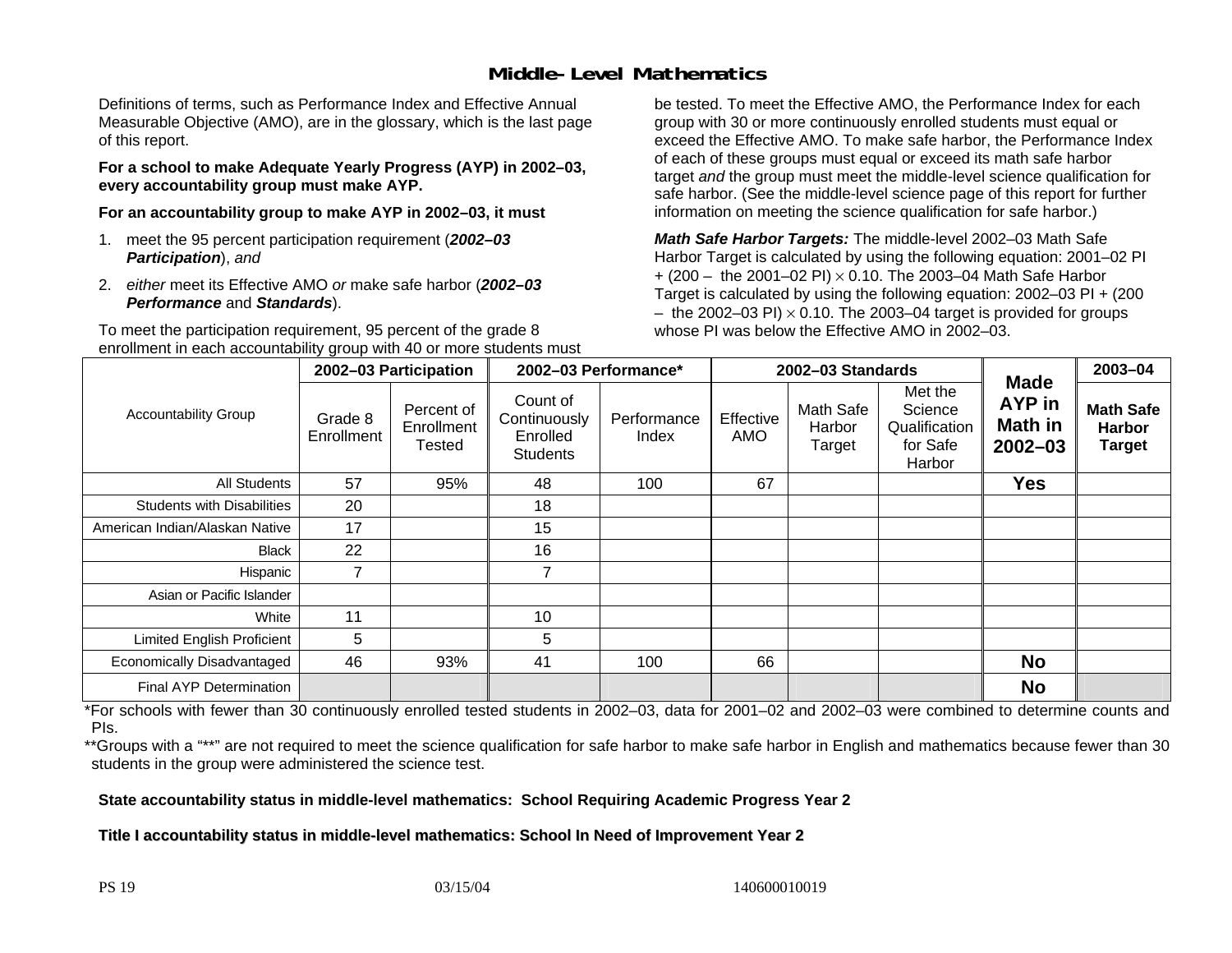### **Middle-Level Mathematics**

Definitions of terms, such as Performance Index and Effective Annual Measurable Objective (AMO), are in the glossary, which is the last page of this report.

**For a school to make Adequate Yearly Progress (AYP) in 2002–03, every accountability group must make AYP.** 

**For an accountability group to make AYP in 2002–03, it must** 

- 1. meet the 95 percent participation requirement (*2002–03 Participation*), *and*
- 2. *either* meet its Effective AMO *or* make safe harbor (*2002–03 Performance* and *Standards*).

To meet the participation requirement, 95 percent of the grade 8 enrollment in each accountability group with 40 or more students must be tested. To meet the Effective AMO, the Performance Index for each group with 30 or more continuously enrolled students must equal or exceed the Effective AMO. To make safe harbor, the Performance Index of each of these groups must equal or exceed its math safe harbor target *and* the group must meet the middle-level science qualification for safe harbor. (See the middle-level science page of this report for further information on meeting the science qualification for safe harbor.)

*Math Safe Harbor Targets:* The middle-level 2002–03 Math Safe Harbor Target is calculated by using the following equation: 2001–02 PI + (200 – the 2001–02 PI) × 0.10. The 2003–04 Math Safe Harbor Target is calculated by using the following equation: 2002–03 PI + (200  $-$  the 2002–03 PI)  $\times$  0.10. The 2003–04 target is provided for groups whose PI was below the Effective AMO in 2002–03.

|                                   | 2002-03 Participation |                                    | 2002-03 Performance*                                    |                      | 2002-03 Standards |                                      |                                                           |                                                               | 2003-04                                            |
|-----------------------------------|-----------------------|------------------------------------|---------------------------------------------------------|----------------------|-------------------|--------------------------------------|-----------------------------------------------------------|---------------------------------------------------------------|----------------------------------------------------|
| <b>Accountability Group</b>       | Grade 8<br>Enrollment | Percent of<br>Enrollment<br>Tested | Count of<br>Continuously<br>Enrolled<br><b>Students</b> | Performance<br>Index | Effective<br>AMO  | <b>Math Safe</b><br>Harbor<br>Target | Met the<br>Science<br>Qualification<br>for Safe<br>Harbor | <b>Made</b><br><b>AYP</b> in<br><b>Math in</b><br>$2002 - 03$ | <b>Math Safe</b><br><b>Harbor</b><br><b>Target</b> |
| <b>All Students</b>               | 57                    | 95%                                | 48                                                      | 100                  | 67                |                                      |                                                           | <b>Yes</b>                                                    |                                                    |
| <b>Students with Disabilities</b> | 20                    |                                    | 18                                                      |                      |                   |                                      |                                                           |                                                               |                                                    |
| American Indian/Alaskan Native    | 17                    |                                    | 15                                                      |                      |                   |                                      |                                                           |                                                               |                                                    |
| <b>Black</b>                      | 22                    |                                    | 16                                                      |                      |                   |                                      |                                                           |                                                               |                                                    |
| Hispanic                          | $\overline{7}$        |                                    | 7                                                       |                      |                   |                                      |                                                           |                                                               |                                                    |
| Asian or Pacific Islander         |                       |                                    |                                                         |                      |                   |                                      |                                                           |                                                               |                                                    |
| White                             | 11                    |                                    | 10                                                      |                      |                   |                                      |                                                           |                                                               |                                                    |
| Limited English Proficient        | 5                     |                                    | 5                                                       |                      |                   |                                      |                                                           |                                                               |                                                    |
| Economically Disadvantaged        | 46                    | 93%                                | 41                                                      | 100                  | 66                |                                      |                                                           | <b>No</b>                                                     |                                                    |
| <b>Final AYP Determination</b>    |                       |                                    |                                                         |                      |                   |                                      |                                                           | <b>No</b>                                                     |                                                    |

\*For schools with fewer than 30 continuously enrolled tested students in 2002–03, data for 2001–02 and 2002–03 were combined to determine counts and PIs.

\*\*Groups with a "\*\*" are not required to meet the science qualification for safe harbor to make safe harbor in English and mathematics because fewer than 30 students in the group were administered the science test.

**State accountability status in middle-level mathematics: School Requiring Academic Progress Year 2** 

Title I accountability status in middle-level mathematics: School In Need of Improvement Year 2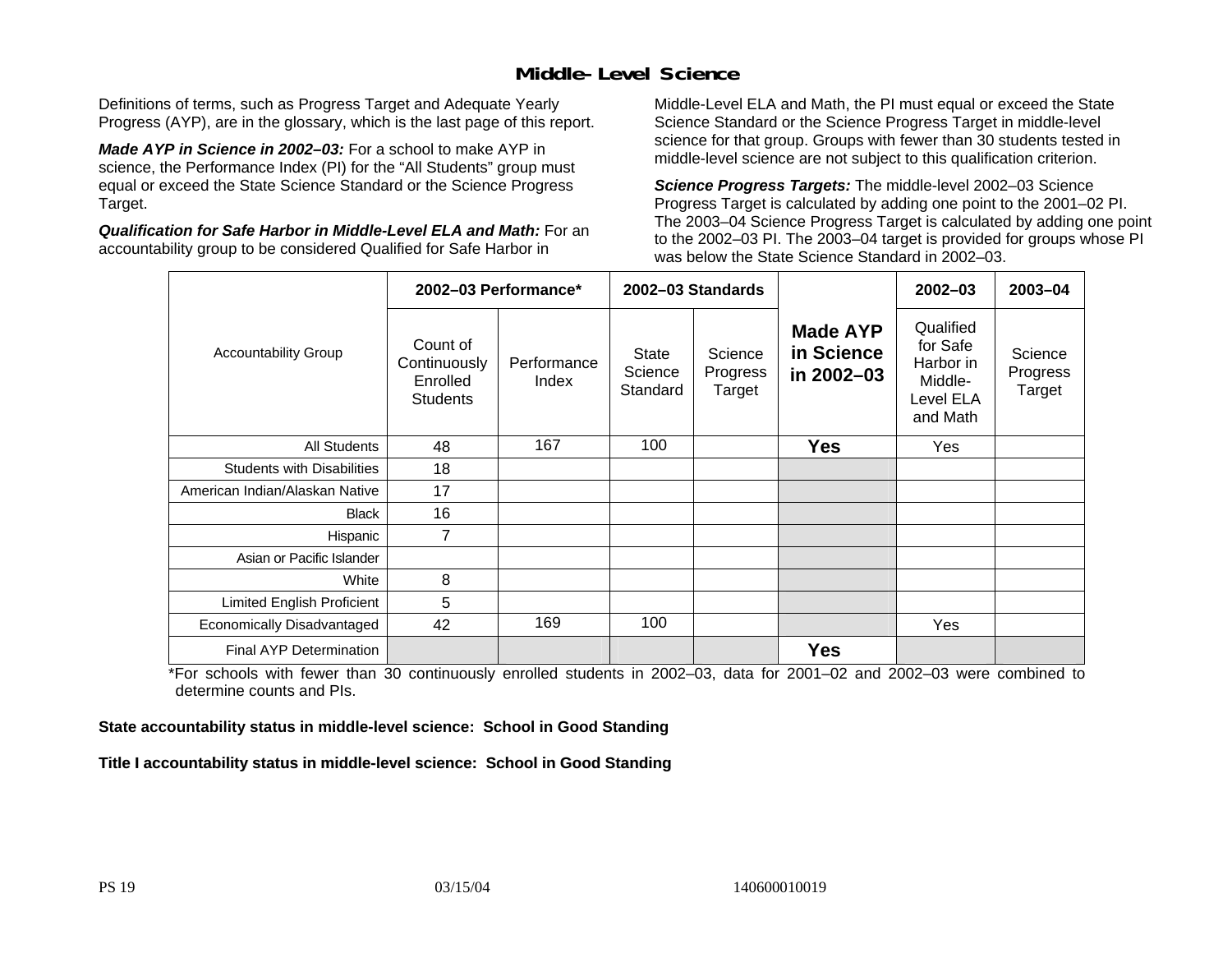### **Middle-Level Science**

Definitions of terms, such as Progress Target and Adequate Yearly Progress (AYP), are in the glossary, which is the last page of this report.

*Made AYP in Science in 2002–03:* For a school to make AYP in science, the Performance Index (PI) for the "All Students" group must equal or exceed the State Science Standard or the Science Progress Target.

*Qualification for Safe Harbor in Middle-Level ELA and Math:* For an accountability group to be considered Qualified for Safe Harbor in

Middle-Level ELA and Math, the PI must equal or exceed the State Science Standard or the Science Progress Target in middle-level science for that group. Groups with fewer than 30 students tested in middle-level science are not subject to this qualification criterion.

*Science Progress Targets:* The middle-level 2002–03 Science Progress Target is calculated by adding one point to the 2001–02 PI. The 2003–04 Science Progress Target is calculated by adding one point to the 2002–03 PI. The 2003–04 target is provided for groups whose PI was below the State Science Standard in 2002–03.

|                                   |                                                         | 2002-03 Performance* |                                     | 2002-03 Standards             |                                             | $2002 - 03$                                                            | $2003 - 04$                   |
|-----------------------------------|---------------------------------------------------------|----------------------|-------------------------------------|-------------------------------|---------------------------------------------|------------------------------------------------------------------------|-------------------------------|
| <b>Accountability Group</b>       | Count of<br>Continuously<br>Enrolled<br><b>Students</b> | Performance<br>Index | <b>State</b><br>Science<br>Standard | Science<br>Progress<br>Target | <b>Made AYP</b><br>in Science<br>in 2002-03 | Qualified<br>for Safe<br>Harbor in<br>Middle-<br>Level ELA<br>and Math | Science<br>Progress<br>Target |
| <b>All Students</b>               | 48                                                      | 167                  | 100                                 |                               | <b>Yes</b>                                  | Yes                                                                    |                               |
| <b>Students with Disabilities</b> | 18                                                      |                      |                                     |                               |                                             |                                                                        |                               |
| American Indian/Alaskan Native    | 17                                                      |                      |                                     |                               |                                             |                                                                        |                               |
| <b>Black</b>                      | 16                                                      |                      |                                     |                               |                                             |                                                                        |                               |
| Hispanic                          | 7                                                       |                      |                                     |                               |                                             |                                                                        |                               |
| Asian or Pacific Islander         |                                                         |                      |                                     |                               |                                             |                                                                        |                               |
| White                             | 8                                                       |                      |                                     |                               |                                             |                                                                        |                               |
| Limited English Proficient        | 5                                                       |                      |                                     |                               |                                             |                                                                        |                               |
| Economically Disadvantaged        | 42                                                      | 169                  | 100                                 |                               |                                             | Yes                                                                    |                               |
| <b>Final AYP Determination</b>    |                                                         |                      |                                     |                               | <b>Yes</b>                                  |                                                                        |                               |

\*For schools with fewer than 30 continuously enrolled students in 2002–03, data for 2001–02 and 2002–03 were combined to determine counts and PIs.

**State accountability status in middle-level science: School in Good Standing** 

Title I accountability status in middle-level science: School in Good Standing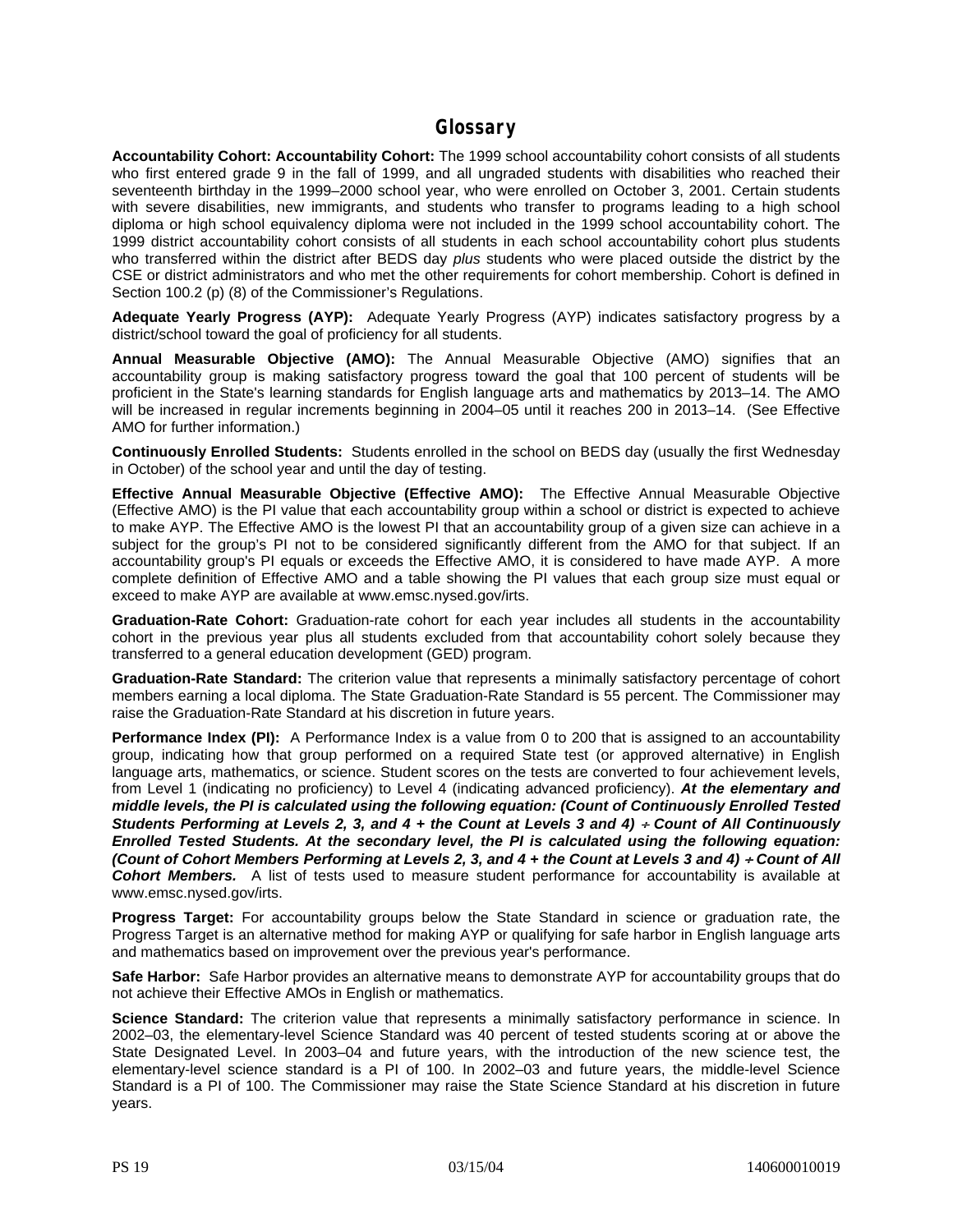#### **Glossary**

**Accountability Cohort: Accountability Cohort:** The 1999 school accountability cohort consists of all students who first entered grade 9 in the fall of 1999, and all ungraded students with disabilities who reached their seventeenth birthday in the 1999–2000 school year, who were enrolled on October 3, 2001. Certain students with severe disabilities, new immigrants, and students who transfer to programs leading to a high school diploma or high school equivalency diploma were not included in the 1999 school accountability cohort. The 1999 district accountability cohort consists of all students in each school accountability cohort plus students who transferred within the district after BEDS day *plus* students who were placed outside the district by the CSE or district administrators and who met the other requirements for cohort membership. Cohort is defined in Section 100.2 (p) (8) of the Commissioner's Regulations.

**Adequate Yearly Progress (AYP):** Adequate Yearly Progress (AYP) indicates satisfactory progress by a district/school toward the goal of proficiency for all students.

**Annual Measurable Objective (AMO):** The Annual Measurable Objective (AMO) signifies that an accountability group is making satisfactory progress toward the goal that 100 percent of students will be proficient in the State's learning standards for English language arts and mathematics by 2013–14. The AMO will be increased in regular increments beginning in 2004–05 until it reaches 200 in 2013–14. (See Effective AMO for further information.)

**Continuously Enrolled Students:** Students enrolled in the school on BEDS day (usually the first Wednesday in October) of the school year and until the day of testing.

**Effective Annual Measurable Objective (Effective AMO):** The Effective Annual Measurable Objective (Effective AMO) is the PI value that each accountability group within a school or district is expected to achieve to make AYP. The Effective AMO is the lowest PI that an accountability group of a given size can achieve in a subject for the group's PI not to be considered significantly different from the AMO for that subject. If an accountability group's PI equals or exceeds the Effective AMO, it is considered to have made AYP. A more complete definition of Effective AMO and a table showing the PI values that each group size must equal or exceed to make AYP are available at www.emsc.nysed.gov/irts.

**Graduation-Rate Cohort:** Graduation-rate cohort for each year includes all students in the accountability cohort in the previous year plus all students excluded from that accountability cohort solely because they transferred to a general education development (GED) program.

**Graduation-Rate Standard:** The criterion value that represents a minimally satisfactory percentage of cohort members earning a local diploma. The State Graduation-Rate Standard is 55 percent. The Commissioner may raise the Graduation-Rate Standard at his discretion in future years.

**Performance Index (PI):** A Performance Index is a value from 0 to 200 that is assigned to an accountability group, indicating how that group performed on a required State test (or approved alternative) in English language arts, mathematics, or science. Student scores on the tests are converted to four achievement levels, from Level 1 (indicating no proficiency) to Level 4 (indicating advanced proficiency). *At the elementary and middle levels, the PI is calculated using the following equation: (Count of Continuously Enrolled Tested Students Performing at Levels 2, 3, and 4 + the Count at Levels 3 and 4) + Count of All Continuously Enrolled Tested Students. At the secondary level, the PI is calculated using the following equation: (Count of Cohort Members Performing at Levels 2, 3, and 4 + the Count at Levels 3 and 4) + Count of All Cohort Members.* A list of tests used to measure student performance for accountability is available at www.emsc.nysed.gov/irts.

**Progress Target:** For accountability groups below the State Standard in science or graduation rate, the Progress Target is an alternative method for making AYP or qualifying for safe harbor in English language arts and mathematics based on improvement over the previous year's performance.

**Safe Harbor:** Safe Harbor provides an alternative means to demonstrate AYP for accountability groups that do not achieve their Effective AMOs in English or mathematics.

**Science Standard:** The criterion value that represents a minimally satisfactory performance in science. In 2002–03, the elementary-level Science Standard was 40 percent of tested students scoring at or above the State Designated Level. In 2003–04 and future years, with the introduction of the new science test, the elementary-level science standard is a PI of 100. In 2002–03 and future years, the middle-level Science Standard is a PI of 100. The Commissioner may raise the State Science Standard at his discretion in future years.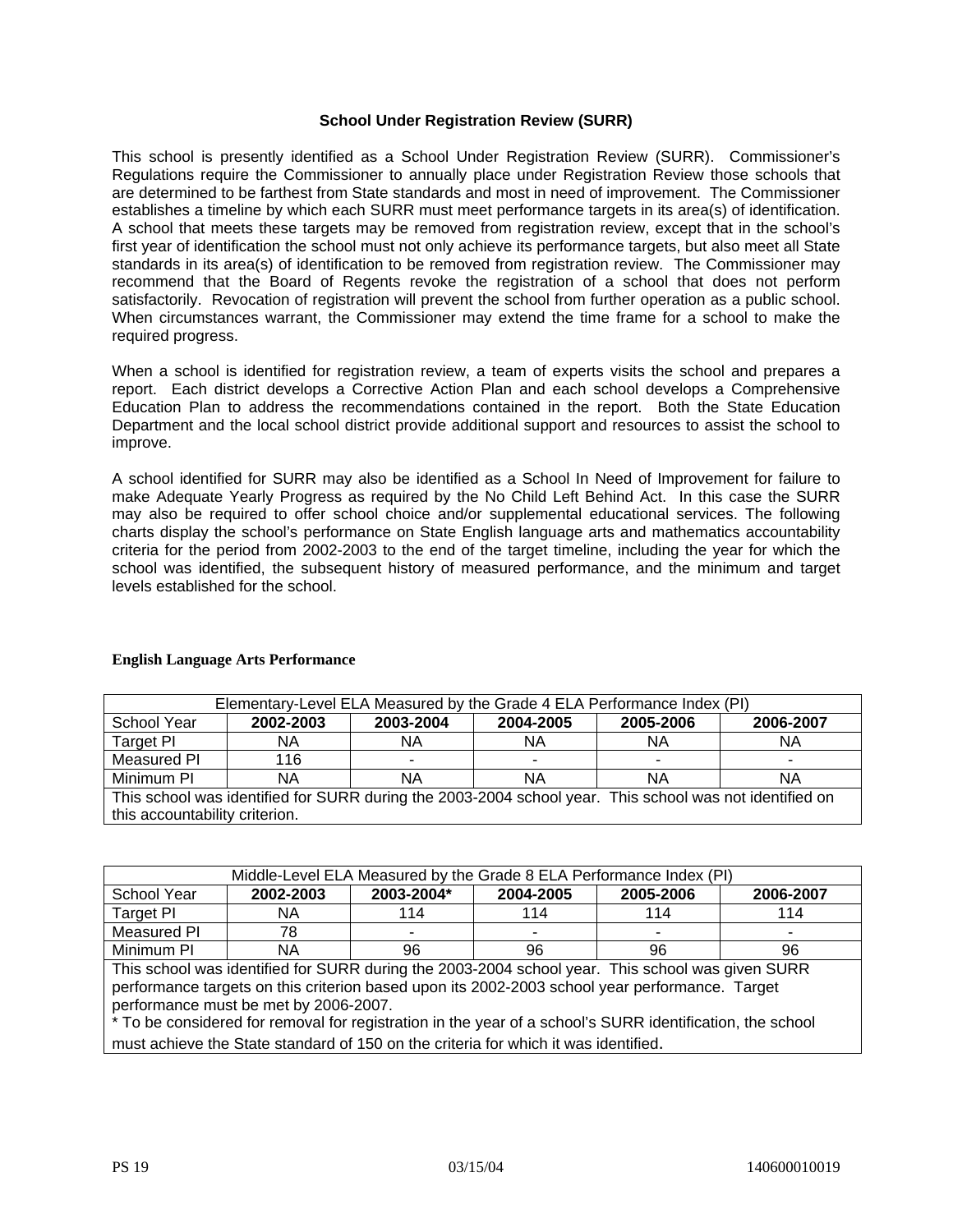#### **School Under Registration Review (SURR)**

This school is presently identified as a School Under Registration Review (SURR). Commissioner's Regulations require the Commissioner to annually place under Registration Review those schools that are determined to be farthest from State standards and most in need of improvement. The Commissioner establishes a timeline by which each SURR must meet performance targets in its area(s) of identification. A school that meets these targets may be removed from registration review, except that in the school's first year of identification the school must not only achieve its performance targets, but also meet all State standards in its area(s) of identification to be removed from registration review. The Commissioner may recommend that the Board of Regents revoke the registration of a school that does not perform satisfactorily. Revocation of registration will prevent the school from further operation as a public school. When circumstances warrant, the Commissioner may extend the time frame for a school to make the required progress.

When a school is identified for registration review, a team of experts visits the school and prepares a report. Each district develops a Corrective Action Plan and each school develops a Comprehensive Education Plan to address the recommendations contained in the report. Both the State Education Department and the local school district provide additional support and resources to assist the school to improve.

A school identified for SURR may also be identified as a School In Need of Improvement for failure to make Adequate Yearly Progress as required by the No Child Left Behind Act. In this case the SURR may also be required to offer school choice and/or supplemental educational services. The following charts display the school's performance on State English language arts and mathematics accountability criteria for the period from 2002-2003 to the end of the target timeline, including the year for which the school was identified, the subsequent history of measured performance, and the minimum and target levels established for the school.

| Elementary-Level ELA Measured by the Grade 4 ELA Performance Index (PI)                                 |           |           |                          |           |           |  |  |
|---------------------------------------------------------------------------------------------------------|-----------|-----------|--------------------------|-----------|-----------|--|--|
| School Year                                                                                             | 2002-2003 | 2003-2004 | 2004-2005                | 2005-2006 | 2006-2007 |  |  |
| Target PI                                                                                               | NA        | ΝA        | ΝA                       | ΝA        | ΝA        |  |  |
| Measured PI                                                                                             | 116       | ٠         | $\overline{\phantom{a}}$ |           |           |  |  |
| Minimum PI                                                                                              | NA        | ΝA        | ΝA                       | ΝA        | ΝA        |  |  |
| This school was identified for SURR during the 2003-2004 school year. This school was not identified on |           |           |                          |           |           |  |  |
| this accountability criterion.                                                                          |           |           |                          |           |           |  |  |

#### **English Language Arts Performance**

| Middle-Level ELA Measured by the Grade 8 ELA Performance Index (PI) |           |                          |           |           |           |  |  |  |
|---------------------------------------------------------------------|-----------|--------------------------|-----------|-----------|-----------|--|--|--|
| School Year                                                         | 2002-2003 | 2003-2004*               | 2004-2005 | 2005-2006 | 2006-2007 |  |  |  |
| Target PI                                                           | ΝA        | 114                      | 114       | 114       | 114       |  |  |  |
| Measured PI                                                         | 78        | $\overline{\phantom{a}}$ | ۰         |           |           |  |  |  |
| Minimum PI                                                          | NΑ        | 96                       | 96        | 96        | 96        |  |  |  |

This school was identified for SURR during the 2003-2004 school year. This school was given SURR performance targets on this criterion based upon its 2002-2003 school year performance. Target performance must be met by 2006-2007.

\* To be considered for removal for registration in the year of a school's SURR identification, the school must achieve the State standard of 150 on the criteria for which it was identified.